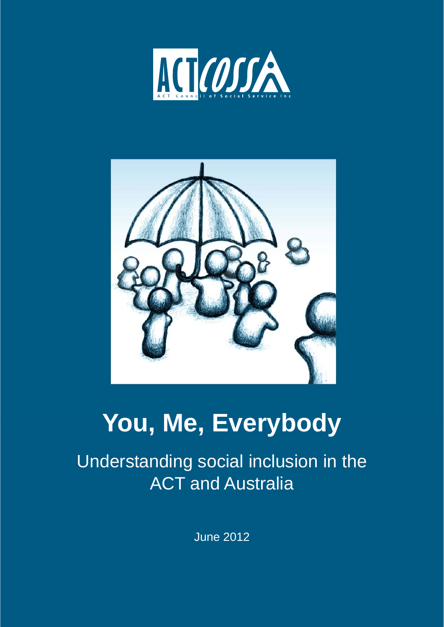



# **You, Me, Everybody**

Understanding social inclusion in the ACT and Australia

June 2012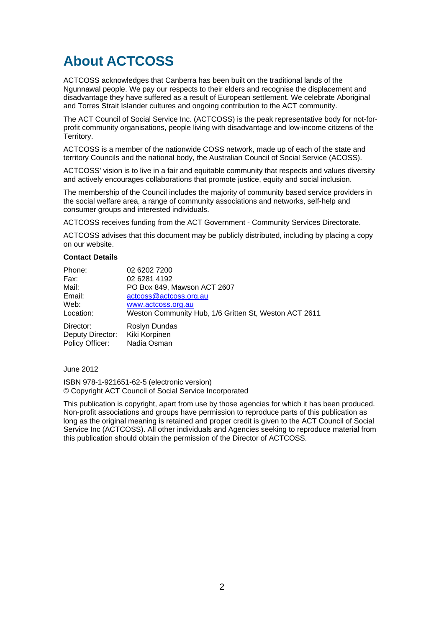# **About ACTCOSS**

ACTCOSS acknowledges that Canberra has been built on the traditional lands of the Ngunnawal people. We pay our respects to their elders and recognise the displacement and disadvantage they have suffered as a result of European settlement. We celebrate Aboriginal and Torres Strait Islander cultures and ongoing contribution to the ACT community.

The ACT Council of Social Service Inc. (ACTCOSS) is the peak representative body for not-forprofit community organisations, people living with disadvantage and low-income citizens of the Territory.

ACTCOSS is a member of the nationwide COSS network, made up of each of the state and territory Councils and the national body, the Australian Council of Social Service (ACOSS).

ACTCOSS' vision is to live in a fair and equitable community that respects and values diversity and actively encourages collaborations that promote justice, equity and social inclusion.

The membership of the Council includes the majority of community based service providers in the social welfare area, a range of community associations and networks, self-help and consumer groups and interested individuals.

ACTCOSS receives funding from the ACT Government - Community Services Directorate.

ACTCOSS advises that this document may be publicly distributed, including by placing a copy on our website.

#### **Contact Details**

| Phone:           | 02 6202 7200                                          |
|------------------|-------------------------------------------------------|
| Fax:             | 02 6281 4192                                          |
| Mail:            | PO Box 849, Mawson ACT 2607                           |
| Email:           | actcoss@actcoss.org.au                                |
| Web:             | www.actcoss.org.au                                    |
| Location:        | Weston Community Hub, 1/6 Gritten St, Weston ACT 2611 |
| Director:        | Roslyn Dundas                                         |
| Deputy Director: | Kiki Korpinen                                         |
| Policy Officer:  | Nadia Osman                                           |

June 2012

ISBN 978-1-921651-62-5 (electronic version) © Copyright ACT Council of Social Service Incorporated

This publication is copyright, apart from use by those agencies for which it has been produced. Non-profit associations and groups have permission to reproduce parts of this publication as long as the original meaning is retained and proper credit is given to the ACT Council of Social Service Inc (ACTCOSS). All other individuals and Agencies seeking to reproduce material from this publication should obtain the permission of the Director of ACTCOSS.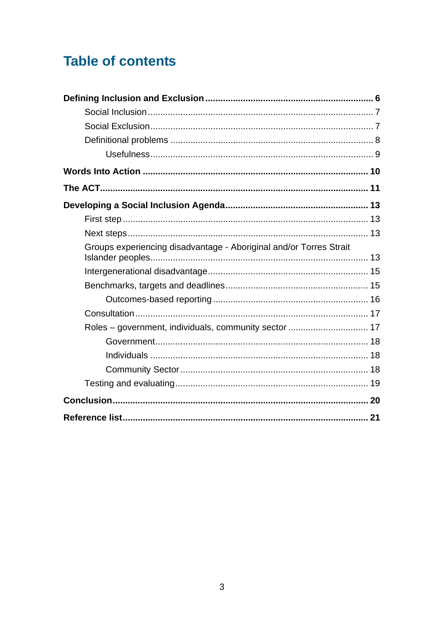# **Table of contents**

| Words Into Action ……………………………………………………………………………… 10                |  |
|--------------------------------------------------------------------|--|
|                                                                    |  |
|                                                                    |  |
|                                                                    |  |
|                                                                    |  |
| Groups experiencing disadvantage - Aboriginal and/or Torres Strait |  |
|                                                                    |  |
|                                                                    |  |
|                                                                    |  |
|                                                                    |  |
|                                                                    |  |
|                                                                    |  |
|                                                                    |  |
|                                                                    |  |
|                                                                    |  |
|                                                                    |  |
|                                                                    |  |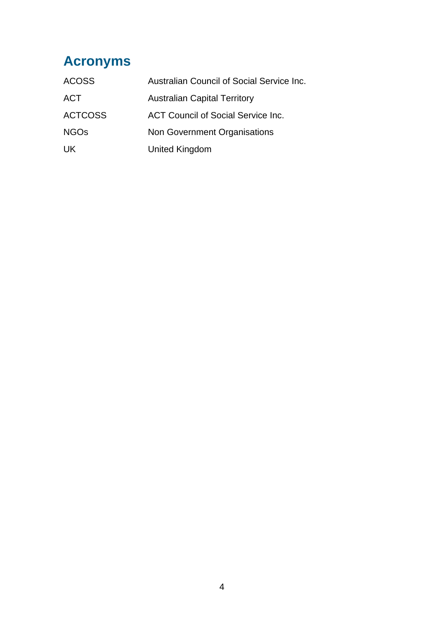# **Acronyms**

| <b>ACOSS</b>   | Australian Council of Social Service Inc. |
|----------------|-------------------------------------------|
| <b>ACT</b>     | <b>Australian Capital Territory</b>       |
| <b>ACTCOSS</b> | ACT Council of Social Service Inc.        |
| <b>NGOs</b>    | Non Government Organisations              |
| UK.            | United Kingdom                            |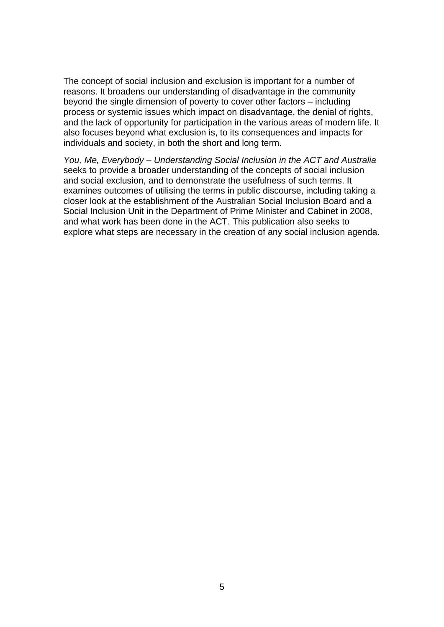The concept of social inclusion and exclusion is important for a number of reasons. It broadens our understanding of disadvantage in the community beyond the single dimension of poverty to cover other factors – including process or systemic issues which impact on disadvantage, the denial of rights, and the lack of opportunity for participation in the various areas of modern life. It also focuses beyond what exclusion is, to its consequences and impacts for individuals and society, in both the short and long term.

*You, Me, Everybody – Understanding Social Inclusion in the ACT and Australia* seeks to provide a broader understanding of the concepts of social inclusion and social exclusion, and to demonstrate the usefulness of such terms. It examines outcomes of utilising the terms in public discourse, including taking a closer look at the establishment of the Australian Social Inclusion Board and a Social Inclusion Unit in the Department of Prime Minister and Cabinet in 2008, and what work has been done in the ACT. This publication also seeks to explore what steps are necessary in the creation of any social inclusion agenda.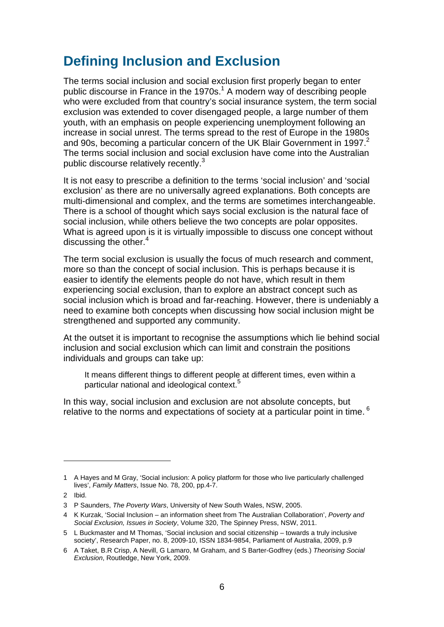# **Defining Inclusion and Exclusion**

The terms social inclusion and social exclusion first properly began to enter public discourse in France in the 1970s. $1$  A modern way of describing people who were excluded from that country's social insurance system, the term social exclusion was extended to cover disengaged people, a large number of them youth, with an emphasis on people experiencing unemployment following an increase in social unrest. The terms spread to the rest of Europe in the 1980s and 90s, becoming a particular concern of the UK Blair Government in 1997.<sup>2</sup> The terms social inclusion and social exclusion have come into the Australian public discourse relatively recently.<sup>3</sup>

It is not easy to prescribe a definition to the terms 'social inclusion' and 'social exclusion' as there are no universally agreed explanations. Both concepts are multi-dimensional and complex, and the terms are sometimes interchangeable. There is a school of thought which says social exclusion is the natural face of social inclusion, while others believe the two concepts are polar opposites. What is agreed upon is it is virtually impossible to discuss one concept without discussing the other.<sup>4</sup>

The term social exclusion is usually the focus of much research and comment, more so than the concept of social inclusion. This is perhaps because it is easier to identify the elements people do not have, which result in them experiencing social exclusion, than to explore an abstract concept such as social inclusion which is broad and far-reaching. However, there is undeniably a need to examine both concepts when discussing how social inclusion might be strengthened and supported any community.

At the outset it is important to recognise the assumptions which lie behind social inclusion and social exclusion which can limit and constrain the positions individuals and groups can take up:

It means different things to different people at different times, even within a particular national and ideological context.<sup>5</sup>

In this way, social inclusion and exclusion are not absolute concepts, but relative to the norms and expectations of society at a particular point in time.  $6$ 

<sup>1</sup> A Hayes and M Gray, 'Social inclusion: A policy platform for those who live particularly challenged lives', *Family Matters*, Issue No. 78, 200, pp.4-7.

<sup>2</sup> Ibid.

<sup>3</sup> P Saunders, *The Poverty Wars*, University of New South Wales, NSW, 2005.

<sup>4</sup> K Kurzak, 'Social Inclusion – an information sheet from The Australian Collaboration', *Poverty and Social Exclusion, Issues in Society*, Volume 320, The Spinney Press, NSW, 2011.

<sup>5</sup> L Buckmaster and M Thomas, 'Social inclusion and social citizenship – towards a truly inclusive society', Research Paper, no. 8, 2009-10, ISSN 1834-9854, Parliament of Australia, 2009, p.9

<sup>6</sup> A Taket, B.R Crisp, A Nevill, G Lamaro, M Graham, and S Barter-Godfrey (eds.) *Theorising Social Exclusion*, Routledge, New York, 2009.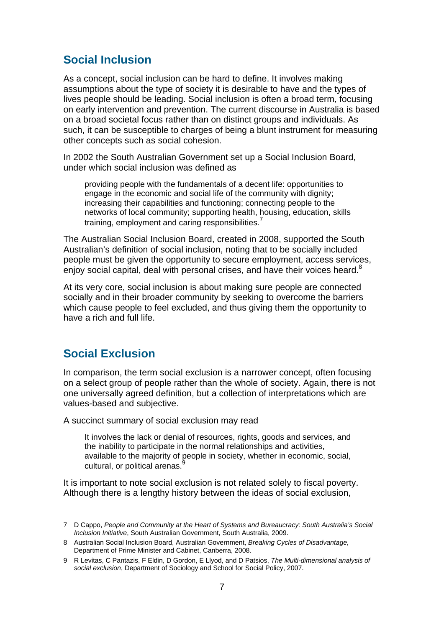## **Social Inclusion**

As a concept, social inclusion can be hard to define. It involves making assumptions about the type of society it is desirable to have and the types of lives people should be leading. Social inclusion is often a broad term, focusing on early intervention and prevention. The current discourse in Australia is based on a broad societal focus rather than on distinct groups and individuals. As such, it can be susceptible to charges of being a blunt instrument for measuring other concepts such as social cohesion.

In 2002 the South Australian Government set up a Social Inclusion Board, under which social inclusion was defined as

providing people with the fundamentals of a decent life: opportunities to engage in the economic and social life of the community with dignity; increasing their capabilities and functioning; connecting people to the networks of local community; supporting health, housing, education, skills training, employment and caring responsibilities.

The Australian Social Inclusion Board, created in 2008, supported the South Australian's definition of social inclusion, noting that to be socially included people must be given the opportunity to secure employment, access services, enjoy social capital, deal with personal crises, and have their voices heard.<sup>8</sup>

At its very core, social inclusion is about making sure people are connected socially and in their broader community by seeking to overcome the barriers which cause people to feel excluded, and thus giving them the opportunity to have a rich and full life.

## **Social Exclusion**

In comparison, the term social exclusion is a narrower concept, often focusing on a select group of people rather than the whole of society. Again, there is not one universally agreed definition, but a collection of interpretations which are values-based and subjective.

A succinct summary of social exclusion may read

It involves the lack or denial of resources, rights, goods and services, and the inability to participate in the normal relationships and activities, available to the majority of people in society, whether in economic, social, cultural, or political arenas.

It is important to note social exclusion is not related solely to fiscal poverty. Although there is a lengthy history between the ideas of social exclusion,

<sup>7</sup> D Cappo, *People and Community at the Heart of Systems and Bureaucracy: South Australia's Social Inclusion Initiative*, South Australian Government, South Australia, 2009.

<sup>8</sup> Australian Social Inclusion Board, Australian Government, *Breaking Cycles of Disadvantage,* Department of Prime Minister and Cabinet, Canberra, 2008.

<sup>9</sup> R Levitas, C Pantazis, F Eldin, D Gordon, E Llyod, and D Patsios, *The Multi-dimensional analysis of social exclusion*, Department of Sociology and School for Social Policy, 2007.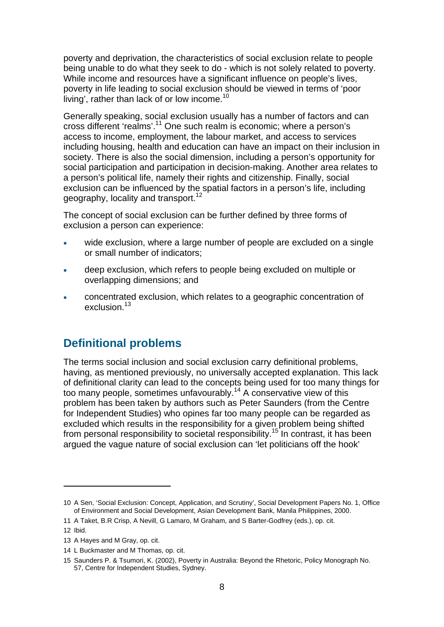poverty and deprivation, the characteristics of social exclusion relate to people being unable to do what they seek to do - which is not solely related to poverty. While income and resources have a significant influence on people's lives, poverty in life leading to social exclusion should be viewed in terms of 'poor living', rather than lack of or low income.<sup>10</sup>

Generally speaking, social exclusion usually has a number of factors and can cross different 'realms'.11 One such realm is economic; where a person's access to income, employment, the labour market, and access to services including housing, health and education can have an impact on their inclusion in society. There is also the social dimension, including a person's opportunity for social participation and participation in decision-making. Another area relates to a person's political life, namely their rights and citizenship. Finally, social exclusion can be influenced by the spatial factors in a person's life, including geography, locality and transport.<sup>12</sup>

The concept of social exclusion can be further defined by three forms of exclusion a person can experience:

- wide exclusion, where a large number of people are excluded on a single or small number of indicators;
- deep exclusion, which refers to people being excluded on multiple or overlapping dimensions; and
- concentrated exclusion, which relates to a geographic concentration of exclusion.<sup>13</sup>

## **Definitional problems**

The terms social inclusion and social exclusion carry definitional problems, having, as mentioned previously, no universally accepted explanation. This lack of definitional clarity can lead to the concepts being used for too many things for too many people, sometimes unfavourably.14 A conservative view of this problem has been taken by authors such as Peter Saunders (from the Centre for Independent Studies) who opines far too many people can be regarded as excluded which results in the responsibility for a given problem being shifted from personal responsibility to societal responsibility.<sup>15</sup> In contrast, it has been argued the vague nature of social exclusion can 'let politicians off the hook'

<sup>10</sup> A Sen, 'Social Exclusion: Concept, Application, and Scrutiny', Social Development Papers No. 1, Office of Environment and Social Development, Asian Development Bank, Manila Philippines, 2000.

<sup>11</sup> A Taket, B.R Crisp, A Nevill, G Lamaro, M Graham, and S Barter-Godfrey (eds.), op. cit.

<sup>12</sup> Ibid.

<sup>13</sup> A Hayes and M Gray, op. cit.

<sup>14</sup> L Buckmaster and M Thomas, op. cit.

<sup>15</sup> Saunders P. & Tsumori, K. (2002), Poverty in Australia: Beyond the Rhetoric, Policy Monograph No. 57, Centre for Independent Studies, Sydney.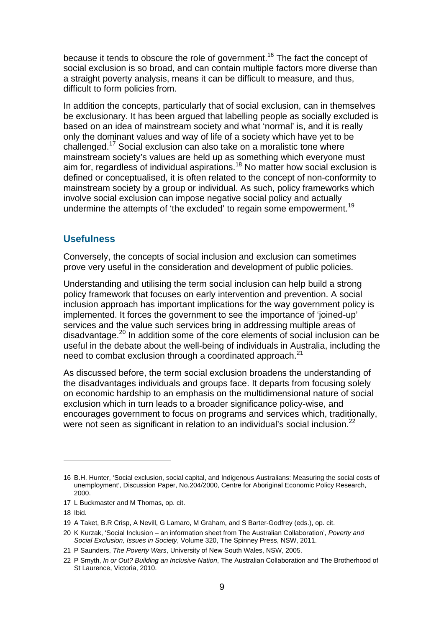because it tends to obscure the role of government.<sup>16</sup> The fact the concept of social exclusion is so broad, and can contain multiple factors more diverse than a straight poverty analysis, means it can be difficult to measure, and thus, difficult to form policies from.

In addition the concepts, particularly that of social exclusion, can in themselves be exclusionary. It has been argued that labelling people as socially excluded is based on an idea of mainstream society and what 'normal' is, and it is really only the dominant values and way of life of a society which have yet to be challenged.17 Social exclusion can also take on a moralistic tone where mainstream society's values are held up as something which everyone must aim for, regardless of individual aspirations.<sup>18</sup> No matter how social exclusion is defined or conceptualised, it is often related to the concept of non-conformity to mainstream society by a group or individual. As such, policy frameworks which involve social exclusion can impose negative social policy and actually undermine the attempts of 'the excluded' to regain some empowerment.<sup>19</sup>

#### **Usefulness**

Conversely, the concepts of social inclusion and exclusion can sometimes prove very useful in the consideration and development of public policies.

Understanding and utilising the term social inclusion can help build a strong policy framework that focuses on early intervention and prevention. A social inclusion approach has important implications for the way government policy is implemented. It forces the government to see the importance of 'joined-up' services and the value such services bring in addressing multiple areas of disadvantage.<sup>20</sup> In addition some of the core elements of social inclusion can be useful in the debate about the well-being of individuals in Australia, including the need to combat exclusion through a coordinated approach.<sup>21</sup>

As discussed before, the term social exclusion broadens the understanding of the disadvantages individuals and groups face. It departs from focusing solely on economic hardship to an emphasis on the multidimensional nature of social exclusion which in turn leads to a broader significance policy-wise, and encourages government to focus on programs and services which, traditionally, were not seen as significant in relation to an individual's social inclusion.<sup>22</sup>

<sup>16</sup> B.H. Hunter, 'Social exclusion, social capital, and Indigenous Australians: Measuring the social costs of unemployment', Discussion Paper, No.204/2000, Centre for Aboriginal Economic Policy Research, 2000.

<sup>17</sup> L Buckmaster and M Thomas, op. cit.

<sup>18</sup> Ibid.

<sup>19</sup> A Taket, B.R Crisp, A Nevill, G Lamaro, M Graham, and S Barter-Godfrey (eds.), op. cit.

<sup>20</sup> K Kurzak, 'Social Inclusion – an information sheet from The Australian Collaboration', *Poverty and Social Exclusion, Issues in Society*, Volume 320, The Spinney Press, NSW, 2011.

<sup>21</sup> P Saunders, *The Poverty Wars*, University of New South Wales, NSW, 2005.

<sup>22</sup> P Smyth, *In or Out? Building an Inclusive Nation*, The Australian Collaboration and The Brotherhood of St Laurence, Victoria, 2010.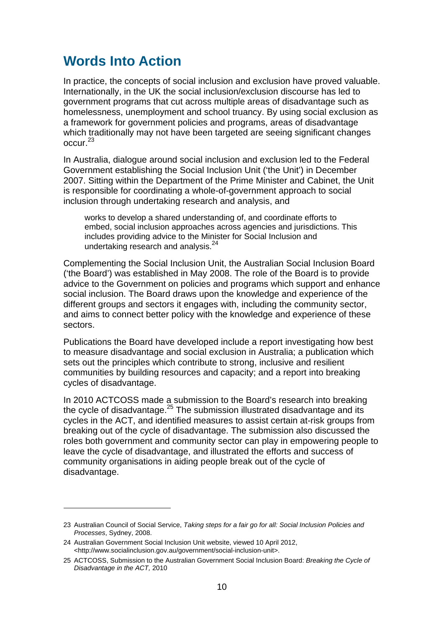## **Words Into Action**

In practice, the concepts of social inclusion and exclusion have proved valuable. Internationally, in the UK the social inclusion/exclusion discourse has led to government programs that cut across multiple areas of disadvantage such as homelessness, unemployment and school truancy. By using social exclusion as a framework for government policies and programs, areas of disadvantage which traditionally may not have been targeted are seeing significant changes occur.<sup>23</sup>

In Australia, dialogue around social inclusion and exclusion led to the Federal Government establishing the Social Inclusion Unit ('the Unit') in December 2007. Sitting within the Department of the Prime Minister and Cabinet, the Unit is responsible for coordinating a whole-of-government approach to social inclusion through undertaking research and analysis, and

works to develop a shared understanding of, and coordinate efforts to embed, social inclusion approaches across agencies and jurisdictions. This includes providing advice to the Minister for Social Inclusion and undertaking research and analysis.<sup>24</sup>

Complementing the Social Inclusion Unit, the Australian Social Inclusion Board ('the Board') was established in May 2008. The role of the Board is to provide advice to the Government on policies and programs which support and enhance social inclusion. The Board draws upon the knowledge and experience of the different groups and sectors it engages with, including the community sector, and aims to connect better policy with the knowledge and experience of these sectors.

Publications the Board have developed include a report investigating how best to measure disadvantage and social exclusion in Australia; a publication which sets out the principles which contribute to strong, inclusive and resilient communities by building resources and capacity; and a report into breaking cycles of disadvantage.

In 2010 ACTCOSS made a submission to the Board's research into breaking the cycle of disadvantage.<sup>25</sup> The submission illustrated disadvantage and its cycles in the ACT, and identified measures to assist certain at-risk groups from breaking out of the cycle of disadvantage. The submission also discussed the roles both government and community sector can play in empowering people to leave the cycle of disadvantage, and illustrated the efforts and success of community organisations in aiding people break out of the cycle of disadvantage.

<sup>23</sup> Australian Council of Social Service, *Taking steps for a fair go for all: Social Inclusion Policies and Processes*, Sydney, 2008.

<sup>24</sup> Australian Government Social Inclusion Unit website, viewed 10 April 2012, <http://www.socialinclusion.gov.au/government/social-inclusion-unit>.

<sup>25</sup> ACTCOSS, Submission to the Australian Government Social Inclusion Board: *Breaking the Cycle of Disadvantage in the ACT,* 2010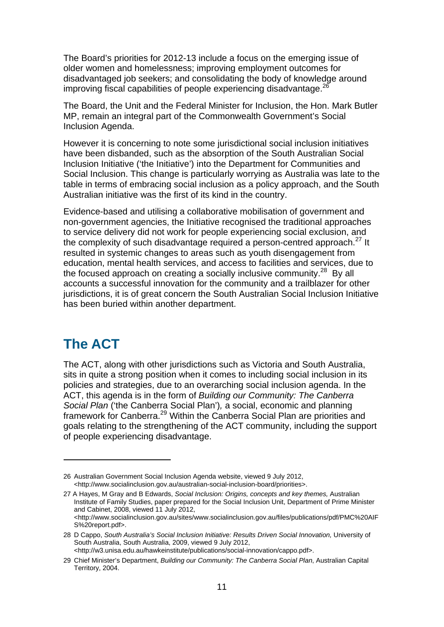The Board's priorities for 2012-13 include a focus on the emerging issue of older women and homelessness; improving employment outcomes for disadvantaged job seekers; and consolidating the body of knowledge around improving fiscal capabilities of people experiencing disadvantage. $^{26}$ 

The Board, the Unit and the Federal Minister for Inclusion, the Hon. Mark Butler MP, remain an integral part of the Commonwealth Government's Social Inclusion Agenda.

However it is concerning to note some jurisdictional social inclusion initiatives have been disbanded, such as the absorption of the South Australian Social Inclusion Initiative ('the Initiative') into the Department for Communities and Social Inclusion. This change is particularly worrying as Australia was late to the table in terms of embracing social inclusion as a policy approach, and the South Australian initiative was the first of its kind in the country.

Evidence-based and utilising a collaborative mobilisation of government and non-government agencies, the Initiative recognised the traditional approaches to service delivery did not work for people experiencing social exclusion, and the complexity of such disadvantage required a person-centred approach. $^{27}$  It resulted in systemic changes to areas such as youth disengagement from education, mental health services, and access to facilities and services, due to the focused approach on creating a socially inclusive community. $^{28}$  By all accounts a successful innovation for the community and a trailblazer for other jurisdictions, it is of great concern the South Australian Social Inclusion Initiative has been buried within another department.

# **The ACT**

The ACT, along with other jurisdictions such as Victoria and South Australia, sits in quite a strong position when it comes to including social inclusion in its policies and strategies, due to an overarching social inclusion agenda. In the ACT, this agenda is in the form of *Building our Community: The Canberra Social Plan* ('the Canberra Social Plan')*,* a social, economic and planning framework for Canberra.<sup>29</sup> Within the Canberra Social Plan are priorities and goals relating to the strengthening of the ACT community, including the support of people experiencing disadvantage.

<sup>26</sup> Australian Government Social Inclusion Agenda website, viewed 9 July 2012, <http://www.socialinclusion.gov.au/australian-social-inclusion-board/priorities>.

<sup>27</sup> A Hayes, M Gray and B Edwards, *Social Inclusion: Origins, concepts and key themes,* Australian Institute of Family Studies, paper prepared for the Social Inclusion Unit, Department of Prime Minister and Cabinet, 2008, viewed 11 July 2012,  $\lt$ http://www.socialinclusion.gov.au/sites/www.socialinclusion.gov.au/files/publications/pdf/PMC%20AIF S%20report.pdf>.

<sup>28</sup> D Cappo, *South Australia's Social Inclusion Initiative: Results Driven Social Innovation,* University of South Australia, South Australia, 2009, viewed 9 July 2012, <http://w3.unisa.edu.au/hawkeinstitute/publications/social-innovation/cappo.pdf>.

<sup>29</sup> Chief Minister's Department, *Building our Community: The Canberra Social Plan*, Australian Capital Territory, 2004.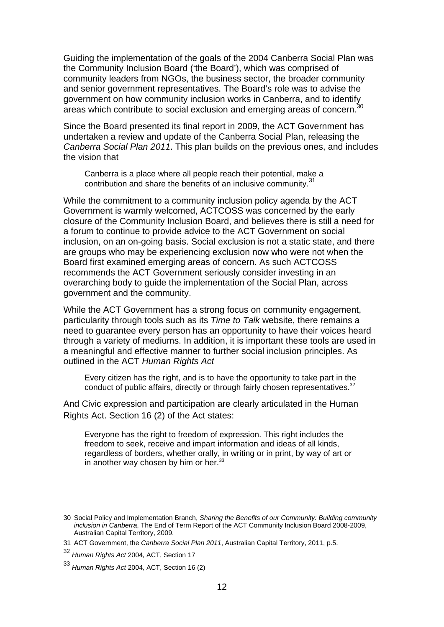Guiding the implementation of the goals of the 2004 Canberra Social Plan was the Community Inclusion Board ('the Board'), which was comprised of community leaders from NGOs, the business sector, the broader community and senior government representatives. The Board's role was to advise the and senior government representances. The air Canberra, and to identify government on how community inclusion works in Canberra, and to identify areas which contribute to social exclusion and emerging areas of concern. $\dot{3}$ 

Since the Board presented its final report in 2009, the ACT Government has undertaken a review and update of the Canberra Social Plan, releasing the *Canberra Social Plan 2011*. This plan builds on the previous ones, and includes the vision that

Canberra is a place where all people reach their potential, make a contribution and share the benefits of an inclusive community.<sup>31</sup>

While the commitment to a community inclusion policy agenda by the ACT Government is warmly welcomed, ACTCOSS was concerned by the early closure of the Community Inclusion Board, and believes there is still a need for a forum to continue to provide advice to the ACT Government on social inclusion, on an on-going basis. Social exclusion is not a static state, and there are groups who may be experiencing exclusion now who were not when the Board first examined emerging areas of concern. As such ACTCOSS recommends the ACT Government seriously consider investing in an overarching body to guide the implementation of the Social Plan, across government and the community.

While the ACT Government has a strong focus on community engagement, particularity through tools such as its *Time to Talk* website, there remains a need to guarantee every person has an opportunity to have their voices heard through a variety of mediums. In addition, it is important these tools are used in a meaningful and effective manner to further social inclusion principles. As outlined in the ACT *Human Rights Act*

Every citizen has the right, and is to have the opportunity to take part in the conduct of public affairs, directly or through fairly chosen representatives.<sup>32</sup>

And Civic expression and participation are clearly articulated in the Human Rights Act. Section 16 (2) of the Act states:

Everyone has the right to freedom of expression. This right includes the freedom to seek, receive and impart information and ideas of all kinds, regardless of borders, whether orally, in writing or in print, by way of art or in another way chosen by him or her.<sup>33</sup>

<sup>30</sup> Social Policy and Implementation Branch, *Sharing the Benefits of our Community: Building community inclusion in Canberra*, The End of Term Report of the ACT Community Inclusion Board 2008-2009, Australian Capital Territory, 2009.

<sup>31</sup> ACT Government, the *Canberra Social Plan 2011*, Australian Capital Territory, 2011, p.5.

<sup>32</sup> *Human Rights Act* 2004*,* ACT, Section 17

<sup>33</sup> *Human Rights Act* 2004*,* ACT, Section 16 (2)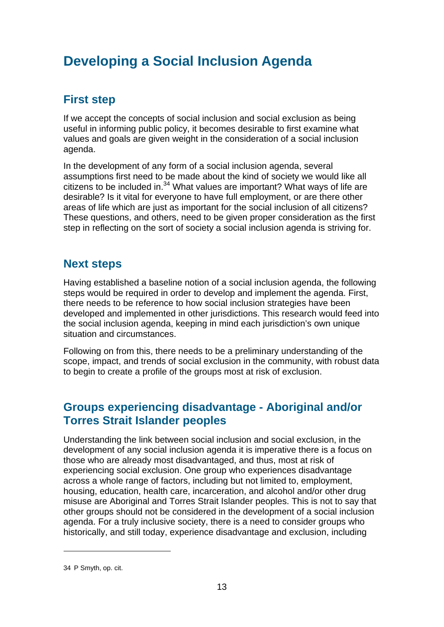# **Developing a Social Inclusion Agenda**

## **First step**

If we accept the concepts of social inclusion and social exclusion as being useful in informing public policy, it becomes desirable to first examine what values and goals are given weight in the consideration of a social inclusion agenda.

In the development of any form of a social inclusion agenda, several assumptions first need to be made about the kind of society we would like all citizens to be included in. $34$  What values are important? What ways of life are desirable? Is it vital for everyone to have full employment, or are there other areas of life which are just as important for the social inclusion of all citizens? These questions, and others, need to be given proper consideration as the first step in reflecting on the sort of society a social inclusion agenda is striving for.

## **Next steps**

Having established a baseline notion of a social inclusion agenda, the following steps would be required in order to develop and implement the agenda. First, there needs to be reference to how social inclusion strategies have been developed and implemented in other jurisdictions. This research would feed into the social inclusion agenda, keeping in mind each jurisdiction's own unique situation and circumstances.

Following on from this, there needs to be a preliminary understanding of the scope, impact, and trends of social exclusion in the community, with robust data to begin to create a profile of the groups most at risk of exclusion.

## **Groups experiencing disadvantage - Aboriginal and/or Torres Strait Islander peoples**

Understanding the link between social inclusion and social exclusion, in the development of any social inclusion agenda it is imperative there is a focus on those who are already most disadvantaged, and thus, most at risk of experiencing social exclusion. One group who experiences disadvantage across a whole range of factors, including but not limited to, employment, housing, education, health care, incarceration, and alcohol and/or other drug misuse are Aboriginal and Torres Strait Islander peoples. This is not to say that other groups should not be considered in the development of a social inclusion agenda. For a truly inclusive society, there is a need to consider groups who historically, and still today, experience disadvantage and exclusion, including

<sup>34</sup> P Smyth, op. cit.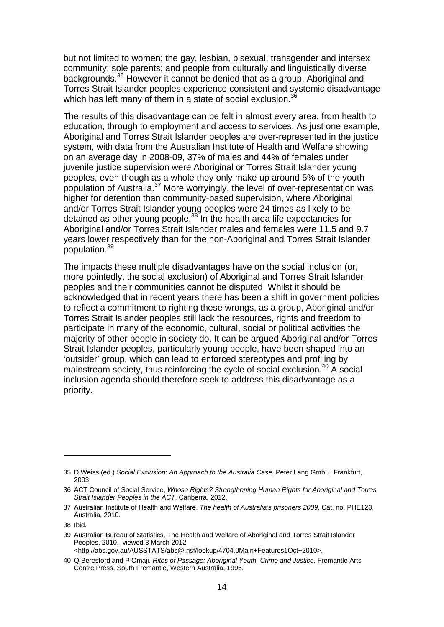but not limited to women; the gay, lesbian, bisexual, transgender and intersex community; sole parents; and people from culturally and linguistically diverse backgrounds.35 However it cannot be denied that as a group, Aboriginal and Torres Strait Islander peoples experience consistent and systemic disadvantage which has left many of them in a state of social exclusion.<sup>36</sup>

The results of this disadvantage can be felt in almost every area, from health to education, through to employment and access to services. As just one example, Aboriginal and Torres Strait Islander peoples are over-represented in the justice system, with data from the Australian Institute of Health and Welfare showing on an average day in 2008-09, 37% of males and 44% of females under juvenile justice supervision were Aboriginal or Torres Strait Islander young peoples, even though as a whole they only make up around 5% of the youth population of Australia.37 More worryingly, the level of over-representation was higher for detention than community-based supervision, where Aboriginal and/or Torres Strait Islander young peoples were 24 times as likely to be detained as other young people. $38$  In the health area life expectancies for Aboriginal and/or Torres Strait Islander males and females were 11.5 and 9.7 years lower respectively than for the non-Aboriginal and Torres Strait Islander population.<sup>39</sup>

The impacts these multiple disadvantages have on the social inclusion (or, more pointedly, the social exclusion) of Aboriginal and Torres Strait Islander peoples and their communities cannot be disputed. Whilst it should be acknowledged that in recent years there has been a shift in government policies to reflect a commitment to righting these wrongs, as a group, Aboriginal and/or Torres Strait Islander peoples still lack the resources, rights and freedom to participate in many of the economic, cultural, social or political activities the majority of other people in society do. It can be argued Aboriginal and/or Torres Strait Islander peoples, particularly young people, have been shaped into an 'outsider' group, which can lead to enforced stereotypes and profiling by mainstream society, thus reinforcing the cycle of social exclusion. $40$  A social inclusion agenda should therefore seek to address this disadvantage as a priority.

<sup>35</sup> D Weiss (ed.) *Social Exclusion: An Approach to the Australia Case*, Peter Lang GmbH, Frankfurt, 2003.

<sup>36</sup> ACT Council of Social Service, *Whose Rights? Strengthening Human Rights for Aboriginal and Torres Strait Islander Peoples in the ACT*, Canberra, 2012.

<sup>37</sup> Australian Institute of Health and Welfare, *The health of Australia's prisoners 2009*, Cat. no. PHE123, Australia, 2010.

<sup>38</sup> Ibid.

<sup>39</sup> Australian Bureau of Statistics, The Health and Welfare of Aboriginal and Torres Strait Islander Peoples, 2010, viewed 3 March 2012,

<sup>&</sup>lt;http://abs.gov.au/AUSSTATS/abs@.nsf/lookup/4704.0Main+Features1Oct+2010>.

<sup>40</sup> Q Beresford and P Omaji, *Rites of Passage: Aboriginal Youth, Crime and Justice*, Fremantle Arts Centre Press, South Fremantle, Western Australia, 1996.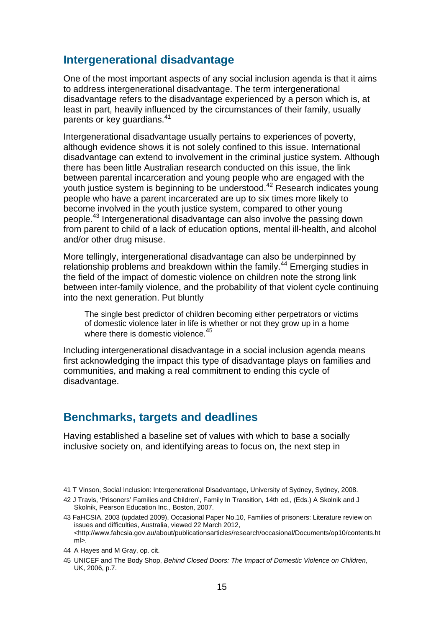#### **Intergenerational disadvantage**

One of the most important aspects of any social inclusion agenda is that it aims to address intergenerational disadvantage. The term intergenerational disadvantage refers to the disadvantage experienced by a person which is, at least in part, heavily influenced by the circumstances of their family, usually parents or key quardians.<sup>41</sup>

Intergenerational disadvantage usually pertains to experiences of poverty, although evidence shows it is not solely confined to this issue. International disadvantage can extend to involvement in the criminal justice system. Although there has been little Australian research conducted on this issue, the link between parental incarceration and young people who are engaged with the youth justice system is beginning to be understood.42 Research indicates young people who have a parent incarcerated are up to six times more likely to become involved in the youth justice system, compared to other young people.<sup>43</sup> Intergenerational disadvantage can also involve the passing down from parent to child of a lack of education options, mental ill-health, and alcohol and/or other drug misuse.

More tellingly, intergenerational disadvantage can also be underpinned by relationship problems and breakdown within the family.<sup>44</sup> Emerging studies in the field of the impact of domestic violence on children note the strong link between inter-family violence, and the probability of that violent cycle continuing into the next generation. Put bluntly

The single best predictor of children becoming either perpetrators or victims of domestic violence later in life is whether or not they grow up in a home where there is domestic violence.<sup>45</sup>

Including intergenerational disadvantage in a social inclusion agenda means first acknowledging the impact this type of disadvantage plays on families and communities, and making a real commitment to ending this cycle of disadvantage.

#### **Benchmarks, targets and deadlines**

Having established a baseline set of values with which to base a socially inclusive society on, and identifying areas to focus on, the next step in

<sup>41</sup> T Vinson, Social Inclusion: Intergenerational Disadvantage, University of Sydney, Sydney, 2008.

<sup>42</sup> J Travis, 'Prisoners' Families and Children', Family In Transition, 14th ed., (Eds.) A Skolnik and J Skolnik, Pearson Education Inc., Boston, 2007.

<sup>43</sup> FaHCSIA. 2003 (updated 2009), Occasional Paper No.10, Families of prisoners: Literature review on issues and difficulties, Australia, viewed 22 March 2012, <http://www.fahcsia.gov.au/about/publicationsarticles/research/occasional/Documents/op10/contents.ht  $m$ 

<sup>44</sup> A Hayes and M Gray, op. cit.

<sup>45</sup> UNICEF and The Body Shop, *Behind Closed Doors: The Impact of Domestic Violence on Children*, UK, 2006, p.7.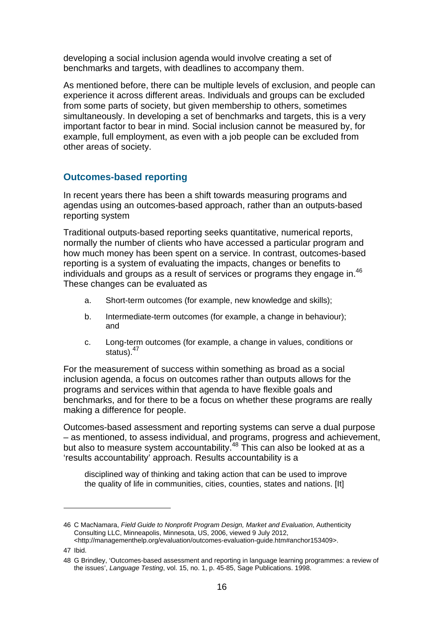developing a social inclusion agenda would involve creating a set of benchmarks and targets, with deadlines to accompany them.

As mentioned before, there can be multiple levels of exclusion, and people can experience it across different areas. Individuals and groups can be excluded from some parts of society, but given membership to others, sometimes simultaneously. In developing a set of benchmarks and targets, this is a very important factor to bear in mind. Social inclusion cannot be measured by, for example, full employment, as even with a job people can be excluded from other areas of society.

#### **Outcomes-based reporting**

In recent years there has been a shift towards measuring programs and agendas using an outcomes-based approach, rather than an outputs-based reporting system

Traditional outputs-based reporting seeks quantitative, numerical reports, normally the number of clients who have accessed a particular program and how much money has been spent on a service. In contrast, outcomes-based reporting is a system of evaluating the impacts, changes or benefits to individuals and groups as a result of services or programs they engage in. $46$ These changes can be evaluated as

- a. Short-term outcomes (for example, new knowledge and skills);
- b. Intermediate-term outcomes (for example, a change in behaviour); and
- c. Long-term outcomes (for example, a change in values, conditions or status).<sup>47</sup>

For the measurement of success within something as broad as a social inclusion agenda, a focus on outcomes rather than outputs allows for the programs and services within that agenda to have flexible goals and benchmarks, and for there to be a focus on whether these programs are really making a difference for people.

Outcomes-based assessment and reporting systems can serve a dual purpose – as mentioned, to assess individual, and programs, progress and achievement, but also to measure system accountability.<sup>48</sup> This can also be looked at as a 'results accountability' approach. Results accountability is a

disciplined way of thinking and taking action that can be used to improve the quality of life in communities, cities, counties, states and nations. [It]

<sup>46</sup> C MacNamara, *Field Guide to Nonprofit Program Design, Market and Evaluation*, Authenticity Consulting LLC, Minneapolis, Minnesota, US, 2006, viewed 9 July 2012, <http://managementhelp.org/evaluation/outcomes-evaluation-guide.htm#anchor153409>.

<sup>47</sup> Ibid.

<sup>48</sup> G Brindley, 'Outcomes-based assessment and reporting in language learning programmes: a review of the issues', *Language Testing*, vol. 15, no. 1, p. 45-85, Sage Publications. 1998.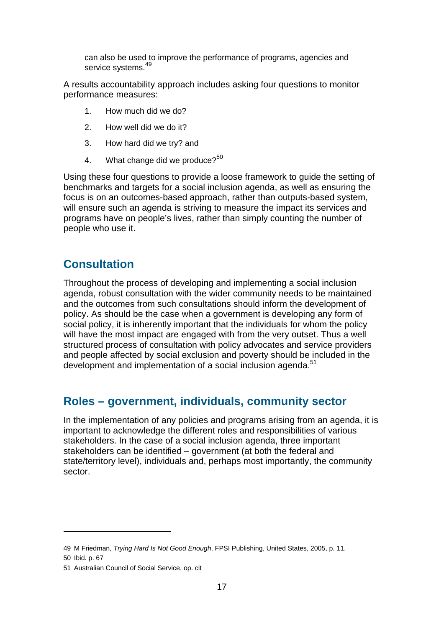can also be used to improve the performance of programs, agencies and service systems.<sup>49</sup>

A results accountability approach includes asking four questions to monitor performance measures:

- 1. How much did we do?
- 2. How well did we do it?
- 3. How hard did we try? and
- 4. What change did we produce? $50$

Using these four questions to provide a loose framework to guide the setting of benchmarks and targets for a social inclusion agenda, as well as ensuring the focus is on an outcomes-based approach, rather than outputs-based system, will ensure such an agenda is striving to measure the impact its services and programs have on people's lives, rather than simply counting the number of people who use it.

### **Consultation**

Throughout the process of developing and implementing a social inclusion agenda, robust consultation with the wider community needs to be maintained and the outcomes from such consultations should inform the development of policy. As should be the case when a government is developing any form of social policy, it is inherently important that the individuals for whom the policy will have the most impact are engaged with from the very outset. Thus a well structured process of consultation with policy advocates and service providers and people affected by social exclusion and poverty should be included in the development and implementation of a social inclusion agenda.<sup>51</sup>

#### **Roles – government, individuals, community sector**

In the implementation of any policies and programs arising from an agenda, it is important to acknowledge the different roles and responsibilities of various stakeholders. In the case of a social inclusion agenda, three important stakeholders can be identified – government (at both the federal and state/territory level), individuals and, perhaps most importantly, the community sector.

<sup>49</sup> M Friedman, *Trying Hard Is Not Good Enough*, FPSI Publishing, United States, 2005, p. 11.

<sup>50</sup> Ibid. p. 67

<sup>51</sup> Australian Council of Social Service, op. cit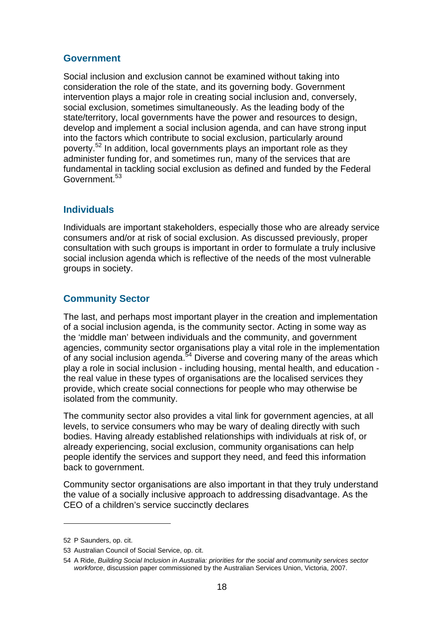#### **Government**

Social inclusion and exclusion cannot be examined without taking into consideration the role of the state, and its governing body. Government intervention plays a major role in creating social inclusion and, conversely, social exclusion, sometimes simultaneously. As the leading body of the state/territory, local governments have the power and resources to design, develop and implement a social inclusion agenda, and can have strong input into the factors which contribute to social exclusion, particularly around poverty.<sup>52</sup> In addition, local governments plays an important role as they administer funding for, and sometimes run, many of the services that are fundamental in tackling social exclusion as defined and funded by the Federal Government.<sup>53</sup>

#### **Individuals**

Individuals are important stakeholders, especially those who are already service consumers and/or at risk of social exclusion. As discussed previously, proper consultation with such groups is important in order to formulate a truly inclusive social inclusion agenda which is reflective of the needs of the most vulnerable groups in society.

#### **Community Sector**

The last, and perhaps most important player in the creation and implementation of a social inclusion agenda, is the community sector. Acting in some way as the 'middle man' between individuals and the community, and government agencies, community sector organisations play a vital role in the implementation of any social inclusion agenda.<sup>54</sup> Diverse and covering many of the areas which play a role in social inclusion - including housing, mental health, and education the real value in these types of organisations are the localised services they provide, which create social connections for people who may otherwise be isolated from the community.

The community sector also provides a vital link for government agencies, at all levels, to service consumers who may be wary of dealing directly with such bodies. Having already established relationships with individuals at risk of, or already experiencing, social exclusion, community organisations can help people identify the services and support they need, and feed this information back to government.

Community sector organisations are also important in that they truly understand the value of a socially inclusive approach to addressing disadvantage. As the CEO of a children's service succinctly declares

<sup>52</sup> P Saunders, op. cit.

<sup>53</sup> Australian Council of Social Service, op. cit.

<sup>54</sup> A Ride, *Building Social Inclusion in Australia: priorities for the social and community services sector workforce*, discussion paper commissioned by the Australian Services Union, Victoria, 2007.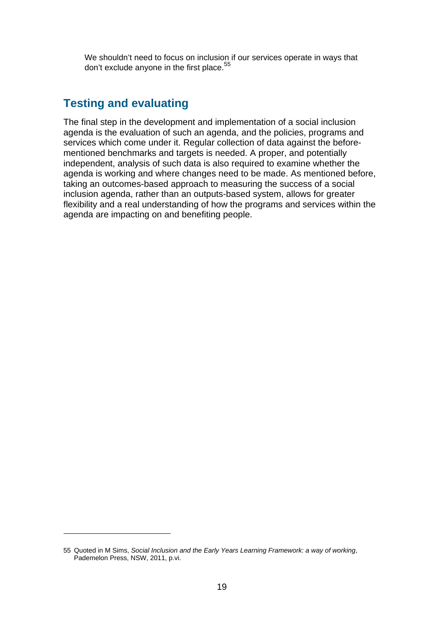We shouldn't need to focus on inclusion if our services operate in ways that don't exclude anyone in the first place.<sup>55</sup>

## **Testing and evaluating**

The final step in the development and implementation of a social inclusion agenda is the evaluation of such an agenda, and the policies, programs and services which come under it. Regular collection of data against the beforementioned benchmarks and targets is needed. A proper, and potentially independent, analysis of such data is also required to examine whether the agenda is working and where changes need to be made. As mentioned before, taking an outcomes-based approach to measuring the success of a social inclusion agenda, rather than an outputs-based system, allows for greater flexibility and a real understanding of how the programs and services within the agenda are impacting on and benefiting people.

<sup>55</sup> Quoted in M Sims, *Social Inclusion and the Early Years Learning Framework: a way of working*, Pademelon Press, NSW, 2011, p.vi.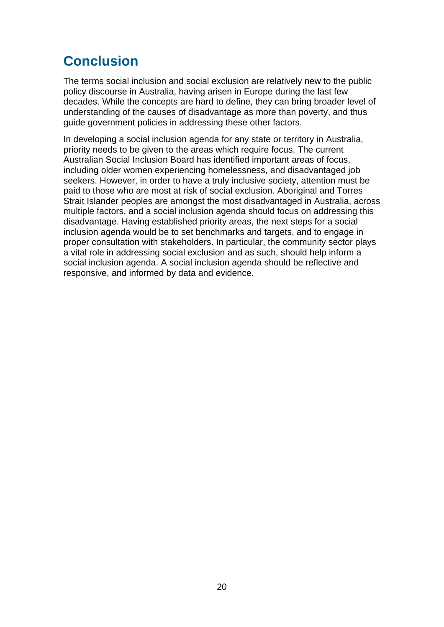# **Conclusion**

The terms social inclusion and social exclusion are relatively new to the public policy discourse in Australia, having arisen in Europe during the last few decades. While the concepts are hard to define, they can bring broader level of understanding of the causes of disadvantage as more than poverty, and thus guide government policies in addressing these other factors.

In developing a social inclusion agenda for any state or territory in Australia, priority needs to be given to the areas which require focus. The current Australian Social Inclusion Board has identified important areas of focus, including older women experiencing homelessness, and disadvantaged job seekers. However, in order to have a truly inclusive society, attention must be paid to those who are most at risk of social exclusion. Aboriginal and Torres Strait Islander peoples are amongst the most disadvantaged in Australia, across multiple factors, and a social inclusion agenda should focus on addressing this disadvantage. Having established priority areas, the next steps for a social inclusion agenda would be to set benchmarks and targets, and to engage in proper consultation with stakeholders. In particular, the community sector plays a vital role in addressing social exclusion and as such, should help inform a social inclusion agenda. A social inclusion agenda should be reflective and responsive, and informed by data and evidence.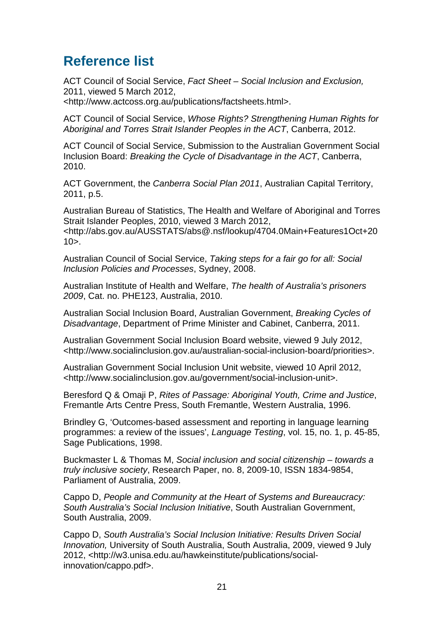# **Reference list**

ACT Council of Social Service, *Fact Sheet – Social Inclusion and Exclusion,*  2011, viewed 5 March 2012,

<http://www.actcoss.org.au/publications/factsheets.html>.

ACT Council of Social Service, *Whose Rights? Strengthening Human Rights for Aboriginal and Torres Strait Islander Peoples in the ACT*, Canberra, 2012.

ACT Council of Social Service, Submission to the Australian Government Social Inclusion Board: *Breaking the Cycle of Disadvantage in the ACT*, Canberra, 2010.

ACT Government, the *Canberra Social Plan 2011*, Australian Capital Territory, 2011, p.5.

Australian Bureau of Statistics, The Health and Welfare of Aboriginal and Torres Strait Islander Peoples, 2010, viewed 3 March 2012, <http://abs.gov.au/AUSSTATS/abs@.nsf/lookup/4704.0Main+Features1Oct+20  $10$  $>$ .

Australian Council of Social Service, *Taking steps for a fair go for all: Social Inclusion Policies and Processes*, Sydney, 2008.

Australian Institute of Health and Welfare, *The health of Australia's prisoners 2009*, Cat. no. PHE123, Australia, 2010.

Australian Social Inclusion Board, Australian Government, *Breaking Cycles of Disadvantage*, Department of Prime Minister and Cabinet, Canberra, 2011.

Australian Government Social Inclusion Board website, viewed 9 July 2012, <http://www.socialinclusion.gov.au/australian-social-inclusion-board/priorities>.

Australian Government Social Inclusion Unit website, viewed 10 April 2012, <http://www.socialinclusion.gov.au/government/social-inclusion-unit>.

Beresford Q & Omaji P, *Rites of Passage: Aboriginal Youth, Crime and Justice*, Fremantle Arts Centre Press, South Fremantle, Western Australia, 1996.

Brindley G, 'Outcomes-based assessment and reporting in language learning programmes: a review of the issues', *Language Testing*, vol. 15, no. 1, p. 45-85, Sage Publications, 1998.

Buckmaster L & Thomas M, *Social inclusion and social citizenship – towards a truly inclusive society*, Research Paper, no. 8, 2009-10, ISSN 1834-9854, Parliament of Australia, 2009.

Cappo D, *People and Community at the Heart of Systems and Bureaucracy: South Australia's Social Inclusion Initiative*, South Australian Government, South Australia, 2009.

Cappo D, *South Australia's Social Inclusion Initiative: Results Driven Social Innovation,* University of South Australia, South Australia, 2009, viewed 9 July 2012, <http://w3.unisa.edu.au/hawkeinstitute/publications/socialinnovation/cappo.pdf>.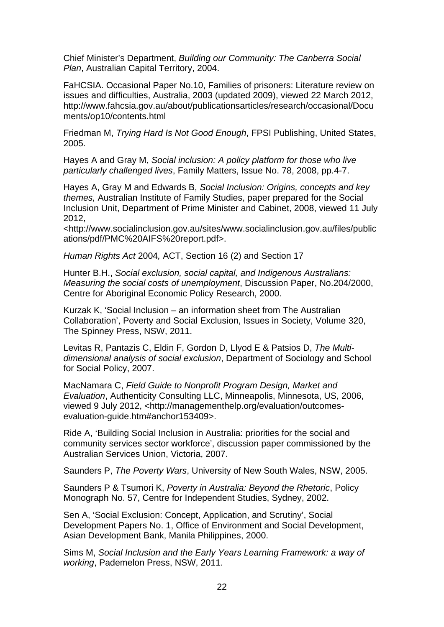Chief Minister's Department, *Building our Community: The Canberra Social Plan*, Australian Capital Territory, 2004.

FaHCSIA. Occasional Paper No.10, Families of prisoners: Literature review on issues and difficulties, Australia, 2003 (updated 2009), viewed 22 March 2012, http://www.fahcsia.gov.au/about/publicationsarticles/research/occasional/Docu ments/op10/contents.html

Friedman M, *Trying Hard Is Not Good Enough*, FPSI Publishing, United States, 2005.

Hayes A and Gray M, *Social inclusion: A policy platform for those who live particularly challenged lives*, Family Matters, Issue No. 78, 2008, pp.4-7.

Hayes A, Gray M and Edwards B, *Social Inclusion: Origins, concepts and key themes,* Australian Institute of Family Studies, paper prepared for the Social Inclusion Unit, Department of Prime Minister and Cabinet, 2008, viewed 11 July 2012,

<http://www.socialinclusion.gov.au/sites/www.socialinclusion.gov.au/files/public ations/pdf/PMC%20AIFS%20report.pdf>.

*Human Rights Act* 2004*,* ACT, Section 16 (2) and Section 17

Hunter B.H., *Social exclusion, social capital, and Indigenous Australians: Measuring the social costs of unemployment*, Discussion Paper, No.204/2000, Centre for Aboriginal Economic Policy Research, 2000.

Kurzak K, 'Social Inclusion – an information sheet from The Australian Collaboration', Poverty and Social Exclusion, Issues in Society, Volume 320, The Spinney Press, NSW, 2011.

Levitas R, Pantazis C, Eldin F, Gordon D, Llyod E & Patsios D, *The Multidimensional analysis of social exclusion*, Department of Sociology and School for Social Policy, 2007.

MacNamara C, *Field Guide to Nonprofit Program Design, Market and Evaluation*, Authenticity Consulting LLC, Minneapolis, Minnesota, US, 2006, viewed 9 July 2012, <http://managementhelp.org/evaluation/outcomesevaluation-guide.htm#anchor153409>.

Ride A, 'Building Social Inclusion in Australia: priorities for the social and community services sector workforce', discussion paper commissioned by the Australian Services Union, Victoria, 2007.

Saunders P, *The Poverty Wars*, University of New South Wales, NSW, 2005.

Saunders P & Tsumori K, *Poverty in Australia: Beyond the Rhetoric*, Policy Monograph No. 57, Centre for Independent Studies, Sydney, 2002.

Sen A, 'Social Exclusion: Concept, Application, and Scrutiny', Social Development Papers No. 1, Office of Environment and Social Development, Asian Development Bank, Manila Philippines, 2000.

Sims M, *Social Inclusion and the Early Years Learning Framework: a way of working*, Pademelon Press, NSW, 2011.